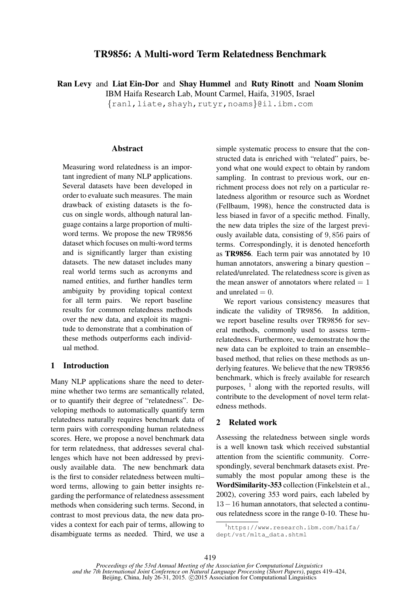# TR9856: A Multi-word Term Relatedness Benchmark

Ran Levy and Liat Ein-Dor and Shay Hummel and Ruty Rinott and Noam Slonim

IBM Haifa Research Lab, Mount Carmel, Haifa, 31905, Israel

{ranl,liate,shayh,rutyr,noams}@il.ibm.com

#### **Abstract**

Measuring word relatedness is an important ingredient of many NLP applications. Several datasets have been developed in order to evaluate such measures. The main drawback of existing datasets is the focus on single words, although natural language contains a large proportion of multiword terms. We propose the new TR9856 dataset which focuses on multi-word terms and is significantly larger than existing datasets. The new dataset includes many real world terms such as acronyms and named entities, and further handles term ambiguity by providing topical context for all term pairs. We report baseline results for common relatedness methods over the new data, and exploit its magnitude to demonstrate that a combination of these methods outperforms each individual method.

# 1 Introduction

Many NLP applications share the need to determine whether two terms are semantically related, or to quantify their degree of "relatedness". Developing methods to automatically quantify term relatedness naturally requires benchmark data of term pairs with corresponding human relatedness scores. Here, we propose a novel benchmark data for term relatedness, that addresses several challenges which have not been addressed by previously available data. The new benchmark data is the first to consider relatedness between multi– word terms, allowing to gain better insights regarding the performance of relatedness assessment methods when considering such terms. Second, in contrast to most previous data, the new data provides a context for each pair of terms, allowing to disambiguate terms as needed. Third, we use a simple systematic process to ensure that the constructed data is enriched with "related" pairs, beyond what one would expect to obtain by random sampling. In contrast to previous work, our enrichment process does not rely on a particular relatedness algorithm or resource such as Wordnet (Fellbaum, 1998), hence the constructed data is less biased in favor of a specific method. Finally, the new data triples the size of the largest previously available data, consisting of 9, 856 pairs of terms. Correspondingly, it is denoted henceforth as TR9856. Each term pair was annotated by 10 human annotators, answering a binary question – related/unrelated. The relatedness score is given as the mean answer of annotators where related  $= 1$ and unrelated  $= 0$ .

We report various consistency measures that indicate the validity of TR9856. In addition, we report baseline results over TR9856 for several methods, commonly used to assess term– relatedness. Furthermore, we demonstrate how the new data can be exploited to train an ensemble– based method, that relies on these methods as underlying features. We believe that the new TR9856 benchmark, which is freely available for research purposes,  $\frac{1}{1}$  along with the reported results, will contribute to the development of novel term relatedness methods.

## 2 Related work

Assessing the relatedness between single words is a well known task which received substantial attention from the scientific community. Correspondingly, several benchmark datasets exist. Presumably the most popular among these is the WordSimilarity-353 collection (Finkelstein et al., 2002), covering 353 word pairs, each labeled by 13−16 human annotators, that selected a continuous relatedness score in the range 0-10. These hu-

<sup>1</sup>https://www.research.ibm.com/haifa/ dept/vst/mlta\_data.shtml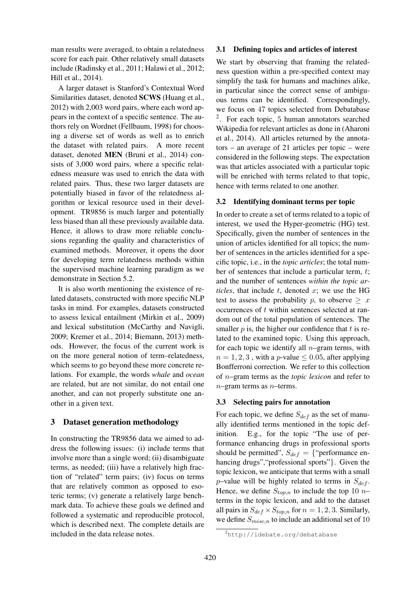man results were averaged, to obtain a relatedness score for each pair. Other relatively small datasets include (Radinsky et al., 2011; Halawi et al., 2012; Hill et al., 2014).

A larger dataset is Stanford's Contextual Word Similarities dataset, denoted SCWS (Huang et al., 2012) with 2,003 word pairs, where each word appears in the context of a specific sentence. The authors rely on Wordnet (Fellbaum, 1998) for choosing a diverse set of words as well as to enrich the dataset with related pairs. A more recent dataset, denoted MEN (Bruni et al., 2014) consists of 3,000 word pairs, where a specific relatedness measure was used to enrich the data with related pairs. Thus, these two larger datasets are potentially biased in favor of the relatedness algorithm or lexical resource used in their development. TR9856 is much larger and potentially less biased than all these previously available data. Hence, it allows to draw more reliable conclusions regarding the quality and characteristics of examined methods. Moreover, it opens the door for developing term relatedness methods within the supervised machine learning paradigm as we demonstrate in Section 5.2.

It is also worth mentioning the existence of related datasets, constructed with more specific NLP tasks in mind. For examples, datasets constructed to assess lexical entailment (Mirkin et al., 2009) and lexical substitution (McCarthy and Navigli, 2009; Kremer et al., 2014; Biemann, 2013) methods. However, the focus of the current work is on the more general notion of term–relatedness, which seems to go beyond these more concrete relations. For example, the words *whale* and *ocean* are related, but are not similar, do not entail one another, and can not properly substitute one another in a given text.

# 3 Dataset generation methodology

In constructing the TR9856 data we aimed to address the following issues: (i) include terms that involve more than a single word; (ii) disambiguate terms, as needed; (iii) have a relatively high fraction of "related" term pairs; (iv) focus on terms that are relatively common as opposed to esoteric terms; (v) generate a relatively large benchmark data. To achieve these goals we defined and followed a systematic and reproducible protocol, which is described next. The complete details are included in the data release notes.

### 3.1 Defining topics and articles of interest

We start by observing that framing the relatedness question within a pre-specified context may simplify the task for humans and machines alike, in particular since the correct sense of ambiguous terms can be identified. Correspondingly, we focus on 47 topics selected from Debatabase 2 . For each topic, 5 human annotators searched Wikipedia for relevant articles as done in (Aharoni et al., 2014). All articles returned by the annotators – an average of 21 articles per topic – were considered in the following steps. The expectation was that articles associated with a particular topic will be enriched with terms related to that topic, hence with terms related to one another.

#### 3.2 Identifying dominant terms per topic

In order to create a set of terms related to a topic of interest, we used the Hyper-geometric (HG) test. Specifically, given the number of sentences in the union of articles identified for all topics; the number of sentences in the articles identified for a specific topic, i.e., in the *topic articles*; the total number of sentences that include a particular term,  $t$ ; and the number of sentences *within the topic articles*, that include  $t$ , denoted  $x$ ; we use the HG test to assess the probability p, to observe  $\geq x$ occurrences of t within sentences selected at random out of the total population of sentences. The smaller  $p$  is, the higher our confidence that  $t$  is related to the examined topic. Using this approach, for each topic we identify all  $n$ –gram terms, with  $n = 1, 2, 3$ , with a p-value  $\leq 0.05$ , after applying Bonfferroni correction. We refer to this collection of n–gram terms as the *topic lexicon* and refer to  $n$ –gram terms as  $n$ –terms.

## 3.3 Selecting pairs for annotation

For each topic, we define  $S_{def}$  as the set of manually identified terms mentioned in the topic definition. E.g., for the topic "The use of performance enhancing drugs in professional sports should be permitted",  $S_{def} = \{$ "performance enhancing drugs", "professional sports" }. Given the topic lexicon, we anticipate that terms with a small p–value will be highly related to terms in  $S_{def}$ . Hence, we define  $S_{top,n}$  to include the top 10 *n*– terms in the topic lexicon, and add to the dataset all pairs in  $S_{def} \times S_{top,n}$  for  $n = 1, 2, 3$ . Similarly, we define  $S_{misc,n}$  to include an additional set of 10

<sup>2</sup>http://idebate.org/debatabase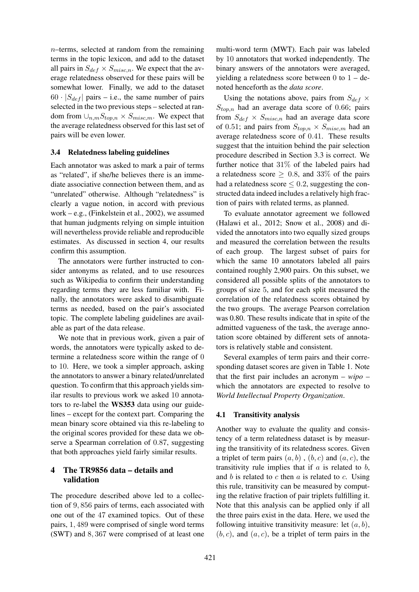$n$ –terms, selected at random from the remaining terms in the topic lexicon, and add to the dataset all pairs in  $S_{def} \times S_{misc,n}$ . We expect that the average relatedness observed for these pairs will be somewhat lower. Finally, we add to the dataset  $60 \cdot |S_{def}|$  pairs – i.e., the same number of pairs selected in the two previous steps – selected at random from  $\cup_{n,m} S_{top,n} \times S_{misc,m}$ . We expect that the average relatedness observed for this last set of pairs will be even lower.

## 3.4 Relatedness labeling guidelines

Each annotator was asked to mark a pair of terms as "related", if she/he believes there is an immediate associative connection between them, and as "unrelated" otherwise. Although "relatedness" is clearly a vague notion, in accord with previous work – e.g., (Finkelstein et al., 2002), we assumed that human judgments relying on simple intuition will nevertheless provide reliable and reproducible estimates. As discussed in section 4, our results confirm this assumption.

The annotators were further instructed to consider antonyms as related, and to use resources such as Wikipedia to confirm their understanding regarding terms they are less familiar with. Finally, the annotators were asked to disambiguate terms as needed, based on the pair's associated topic. The complete labeling guidelines are available as part of the data release.

We note that in previous work, given a pair of words, the annotators were typically asked to determine a relatedness score within the range of 0 to 10. Here, we took a simpler approach, asking the annotators to answer a binary related/unrelated question. To confirm that this approach yields similar results to previous work we asked 10 annotators to re-label the WS353 data using our guidelines – except for the context part. Comparing the mean binary score obtained via this re-labeling to the original scores provided for these data we observe a Spearman correlation of 0.87, suggesting that both approaches yield fairly similar results.

# 4 The TR9856 data – details and validation

The procedure described above led to a collection of 9, 856 pairs of terms, each associated with one out of the 47 examined topics. Out of these pairs, 1, 489 were comprised of single word terms (SWT) and 8, 367 were comprised of at least one

multi-word term (MWT). Each pair was labeled by 10 annotators that worked independently. The binary answers of the annotators were averaged, yielding a relatedness score between  $0$  to  $1 -$  denoted henceforth as the *data score*.

Using the notations above, pairs from  $S_{def}$   $\times$  $S_{top,n}$  had an average data score of 0.66; pairs from  $S_{def} \times S_{misc,n}$  had an average data score of 0.51; and pairs from  $S_{top,n} \times S_{miss,m}$  had an average relatedness score of 0.41. These results suggest that the intuition behind the pair selection procedure described in Section 3.3 is correct. We further notice that 31% of the labeled pairs had a relatedness score  $\geq 0.8$ , and 33% of the pairs had a relatedness score  $\leq 0.2$ , suggesting the constructed data indeed includes a relatively high fraction of pairs with related terms, as planned.

To evaluate annotator agreement we followed (Halawi et al., 2012; Snow et al., 2008) and divided the annotators into two equally sized groups and measured the correlation between the results of each group. The largest subset of pairs for which the same 10 annotators labeled all pairs contained roughly 2,900 pairs. On this subset, we considered all possible splits of the annotators to groups of size 5, and for each split measured the correlation of the relatedness scores obtained by the two groups. The average Pearson correlation was 0.80. These results indicate that in spite of the admitted vagueness of the task, the average annotation score obtained by different sets of annotators is relatively stable and consistent.

Several examples of term pairs and their corresponding dataset scores are given in Table 1. Note that the first pair includes an acronym – *wipo* – which the annotators are expected to resolve to *World Intellectual Property Organization*.

## 4.1 Transitivity analysis

Another way to evaluate the quality and consistency of a term relatedness dataset is by measuring the transitivity of its relatedness scores. Given a triplet of term pairs  $(a, b)$ ,  $(b, c)$  and  $(a, c)$ , the transitivity rule implies that if  $a$  is related to  $b$ , and  $b$  is related to  $c$  then  $a$  is related to  $c$ . Using this rule, transitivity can be measured by computing the relative fraction of pair triplets fulfilling it. Note that this analysis can be applied only if all the three pairs exist in the data. Here, we used the following intuitive transitivity measure: let  $(a, b)$ ,  $(b, c)$ , and  $(a, c)$ , be a triplet of term pairs in the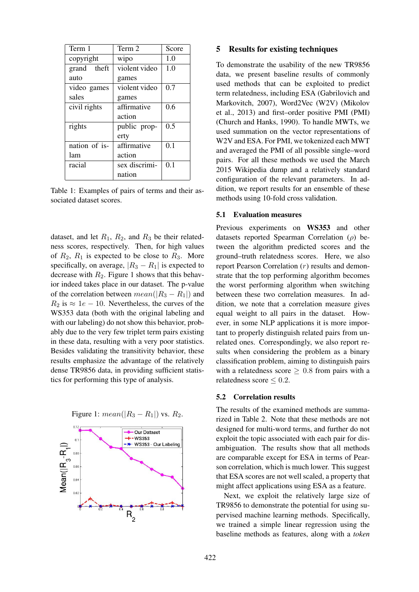| Term 1        | Term 2        | Score |
|---------------|---------------|-------|
| copyright     | wipo          | 1.0   |
| grand theft   | violent video | 1.0   |
| auto          | games         |       |
| video games   | violent video | 0.7   |
| sales         | games         |       |
| civil rights  | affirmative   | 0.6   |
|               | action        |       |
| rights        | public prop-  | 0.5   |
|               | erty          |       |
| nation of is- | affirmative   | 0.1   |
| lam           | action        |       |
| racial        | sex discrimi- | 0.1   |
|               | nation        |       |

Table 1: Examples of pairs of terms and their associated dataset scores.

dataset, and let  $R_1$ ,  $R_2$ , and  $R_3$  be their relatedness scores, respectively. Then, for high values of  $R_2$ ,  $R_1$  is expected to be close to  $R_3$ . More specifically, on average,  $|R_3 - R_1|$  is expected to decrease with  $R_2$ . Figure 1 shows that this behavior indeed takes place in our dataset. The p-value of the correlation between  $mean(|R_3 - R_1|)$  and  $R_2$  is  $\approx 1e - 10$ . Nevertheless, the curves of the WS353 data (both with the original labeling and with our labeling) do not show this behavior, probably due to the very few triplet term pairs existing in these data, resulting with a very poor statistics. Besides validating the transitivity behavior, these results emphasize the advantage of the relatively dense TR9856 data, in providing sufficient statistics for performing this type of analysis.



Figure 1:  $mean(|R_3 - R_1|)$  vs.  $R_2$ .

#### 5 Results for existing techniques

To demonstrate the usability of the new TR9856 data, we present baseline results of commonly used methods that can be exploited to predict term relatedness, including ESA (Gabrilovich and Markovitch, 2007), Word2Vec (W2V) (Mikolov et al., 2013) and first–order positive PMI (PMI) (Church and Hanks, 1990). To handle MWTs, we used summation on the vector representations of W2V and ESA. For PMI, we tokenized each MWT and averaged the PMI of all possible single–word pairs. For all these methods we used the March 2015 Wikipedia dump and a relatively standard configuration of the relevant parameters. In addition, we report results for an ensemble of these methods using 10-fold cross validation.

#### 5.1 Evaluation measures

Previous experiments on WS353 and other datasets reported Spearman Correlation  $(\rho)$  between the algorithm predicted scores and the ground–truth relatedness scores. Here, we also report Pearson Correlation (r) results and demonstrate that the top performing algorithm becomes the worst performing algorithm when switching between these two correlation measures. In addition, we note that a correlation measure gives equal weight to all pairs in the dataset. However, in some NLP applications it is more important to properly distinguish related pairs from unrelated ones. Correspondingly, we also report results when considering the problem as a binary classification problem, aiming to distinguish pairs with a relatedness score  $\geq 0.8$  from pairs with a relatedness score  $\leq 0.2$ .

#### 5.2 Correlation results

The results of the examined methods are summarized in Table 2. Note that these methods are not designed for multi-word terms, and further do not exploit the topic associated with each pair for disambiguation. The results show that all methods are comparable except for ESA in terms of Pearson correlation, which is much lower. This suggest that ESA scores are not well scaled, a property that might affect applications using ESA as a feature.

Next, we exploit the relatively large size of TR9856 to demonstrate the potential for using supervised machine learning methods. Specifically, we trained a simple linear regression using the baseline methods as features, along with a *token*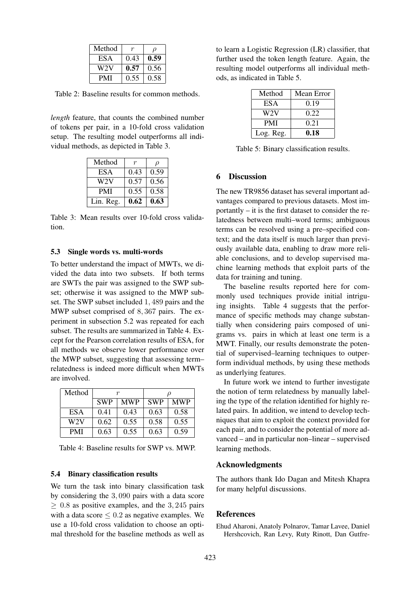| Method |      | ()   |
|--------|------|------|
| ESA    | 0.43 | 0.59 |
| W2V    | 0.57 | 0.56 |
| PMI    | 0.55 | 0.58 |

Table 2: Baseline results for common methods.

*length* feature, that counts the combined number of tokens per pair, in a 10-fold cross validation setup. The resulting model outperforms all individual methods, as depicted in Table 3.

| Method     |      | $\rho$ |
|------------|------|--------|
| ESA        | 0.43 | 0.59   |
| W2V        | 0.57 | 0.56   |
| <b>PMI</b> | 0.55 | 0.58   |
| Lin. Reg.  | 0.62 | 0.63   |

Table 3: Mean results over 10-fold cross validation.

### 5.3 Single words vs. multi-words

To better understand the impact of MWTs, we divided the data into two subsets. If both terms are SWTs the pair was assigned to the SWP subset; otherwise it was assigned to the MWP subset. The SWP subset included 1, 489 pairs and the MWP subset comprised of 8, 367 pairs. The experiment in subsection 5.2 was repeated for each subset. The results are summarized in Table 4. Except for the Pearson correlation results of ESA, for all methods we observe lower performance over the MWP subset, suggesting that assessing term– relatedness is indeed more difficult when MWTs are involved.

| Method           | r          |            |            |            |
|------------------|------------|------------|------------|------------|
|                  | <b>SWP</b> | <b>MWP</b> | <b>SWP</b> | <b>MWP</b> |
| <b>ESA</b>       | 0.41       | 0.43       | 0.63       | 0.58       |
| W <sub>2</sub> V | 0.62       | 0.55       | 0.58       | 0.55       |
| <b>PMI</b>       | 0.63       | 0.55       | 0.63       | 0.59       |

Table 4: Baseline results for SWP vs. MWP.

### 5.4 Binary classification results

We turn the task into binary classification task by considering the 3, 090 pairs with a data score  $> 0.8$  as positive examples, and the 3, 245 pairs with a data score  $\leq 0.2$  as negative examples. We use a 10-fold cross validation to choose an optimal threshold for the baseline methods as well as to learn a Logistic Regression (LR) classifier, that further used the token length feature. Again, the resulting model outperforms all individual methods, as indicated in Table 5.

| Method     | Mean Error |
|------------|------------|
| <b>ESA</b> | 0.19       |
| W2V        | 0.22       |
| <b>PMI</b> | 0.21       |
| Log. Reg.  | 0.18       |

Table 5: Binary classification results.

# 6 Discussion

The new TR9856 dataset has several important advantages compared to previous datasets. Most importantly – it is the first dataset to consider the relatedness between multi–word terms; ambiguous terms can be resolved using a pre–specified context; and the data itself is much larger than previously available data, enabling to draw more reliable conclusions, and to develop supervised machine learning methods that exploit parts of the data for training and tuning.

The baseline results reported here for commonly used techniques provide initial intriguing insights. Table 4 suggests that the performance of specific methods may change substantially when considering pairs composed of unigrams vs. pairs in which at least one term is a MWT. Finally, our results demonstrate the potential of supervised–learning techniques to outperform individual methods, by using these methods as underlying features.

In future work we intend to further investigate the notion of term relatedness by manually labeling the type of the relation identified for highly related pairs. In addition, we intend to develop techniques that aim to exploit the context provided for each pair, and to consider the potential of more advanced – and in particular non–linear – supervised learning methods.

### Acknowledgments

The authors thank Ido Dagan and Mitesh Khapra for many helpful discussions.

## References

Ehud Aharoni, Anatoly Polnarov, Tamar Lavee, Daniel Hershcovich, Ran Levy, Ruty Rinott, Dan Gutfre